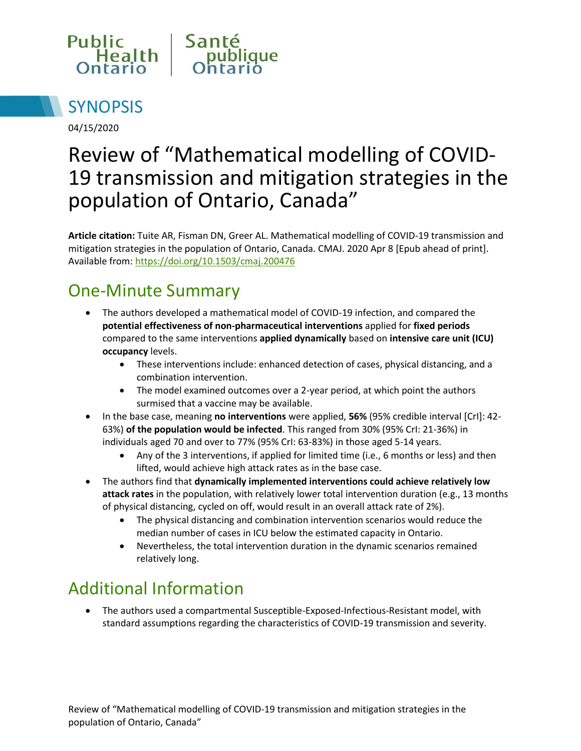



04/15/2020

# Review of "Mathematical modelling of COVID-19 transmission and mitigation strategies in the population of Ontario, Canada"

**Article citation:** Tuite AR, Fisman DN, Greer AL. Mathematical modelling of COVID-19 transmission and mitigation strategies in the population of Ontario, Canada. CMAJ. 2020 Apr 8 [Epub ahead of print]. Available from[: https://doi.org/10.1503/cmaj.200476](https://doi.org/10.1503/cmaj.200476)

### One-Minute Summary

- The authors developed a mathematical model of COVID-19 infection, and compared the **potential effectiveness of non-pharmaceutical interventions** applied for **fixed periods** compared to the same interventions **applied dynamically** based on **intensive care unit (ICU) occupancy** levels.
	- These interventions include: enhanced detection of cases, physical distancing, and a combination intervention.
	- The model examined outcomes over a 2-year period, at which point the authors surmised that a vaccine may be available.
- In the base case, meaning **no interventions** were applied, **56%** (95% credible interval [CrI]: 42- 63%) **of the population would be infected**. This ranged from 30% (95% CrI: 21-36%) in individuals aged 70 and over to 77% (95% CrI: 63-83%) in those aged 5-14 years.
	- Any of the 3 interventions, if applied for limited time (i.e., 6 months or less) and then lifted, would achieve high attack rates as in the base case.
- The authors find that **dynamically implemented interventions could achieve relatively low attack rates** in the population, with relatively lower total intervention duration (e.g., 13 months of physical distancing, cycled on off, would result in an overall attack rate of 2%).
	- The physical distancing and combination intervention scenarios would reduce the median number of cases in ICU below the estimated capacity in Ontario.
	- Nevertheless, the total intervention duration in the dynamic scenarios remained relatively long.

## Additional Information

 The authors used a compartmental Susceptible-Exposed-Infectious-Resistant model, with standard assumptions regarding the characteristics of COVID-19 transmission and severity.